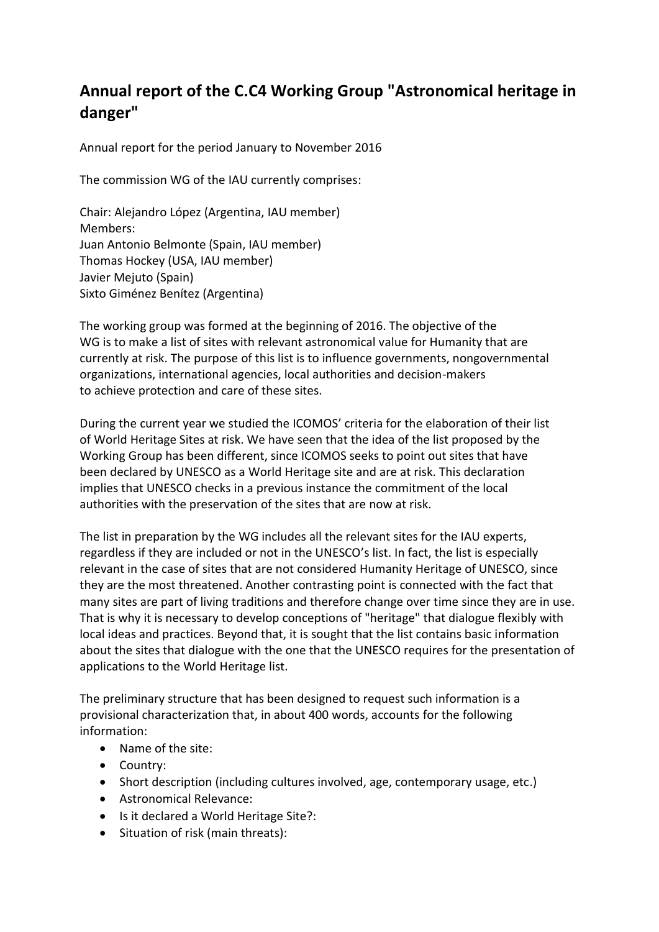## **Annual report of the C.C4 Working Group "Astronomical heritage in danger"**

Annual report for the period January to November 2016

The commission WG of the IAU currently comprises:

Chair: Alejandro López (Argentina, IAU member) Members: Juan Antonio Belmonte (Spain, IAU member) Thomas Hockey (USA, IAU member) Javier Mejuto (Spain) Sixto Giménez Benítez (Argentina)

The working group was formed at the beginning of 2016. The objective of the WG is to make a list of sites with relevant astronomical value for Humanity that are currently at risk. The purpose of this list is to influence governments, nongovernmental organizations, international agencies, local authorities and decision-makers to achieve protection and care of these sites.

During the current year we studied the ICOMOS' criteria for the elaboration of their list of World Heritage Sites at risk. We have seen that the idea of the list proposed by the Working Group has been different, since ICOMOS seeks to point out sites that have been declared by UNESCO as a World Heritage site and are at risk. This declaration implies that UNESCO checks in a previous instance the commitment of the local authorities with the preservation of the sites that are now at risk.

The list in preparation by the WG includes all the relevant sites for the IAU experts, regardless if they are included or not in the UNESCO's list. In fact, the list is especially relevant in the case of sites that are not considered Humanity Heritage of UNESCO, since they are the most threatened. Another contrasting point is connected with the fact that many sites are part of living traditions and therefore change over time since they are in use. That is why it is necessary to develop conceptions of "heritage" that dialogue flexibly with local ideas and practices. Beyond that, it is sought that the list contains basic information about the sites that dialogue with the one that the UNESCO requires for the presentation of applications to the World Heritage list.

The preliminary structure that has been designed to request such information is a provisional characterization that, in about 400 words, accounts for the following information:

- Name of the site:
- Country:
- Short description (including cultures involved, age, contemporary usage, etc.)
- Astronomical Relevance:
- Is it declared a World Heritage Site?:
- Situation of risk (main threats):